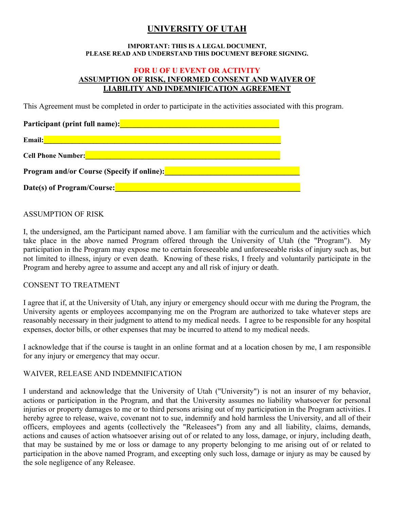# **UNIVERSITY OF UTAH**

#### **IMPORTANT: THIS IS A LEGAL DOCUMENT, PLEASE READ AND UNDERSTAND THIS DOCUMENT BEFORE SIGNING.**

## **FOR U OF U EVENT OR ACTIVITY ASSUMPTION OF RISK, INFORMED CONSENT AND WAIVER OF LIABILITY AND INDEMNIFICATION AGREEMENT**

This Agreement must be completed in order to participate in the activities associated with this program.

| Participant (print full name):                    |  |
|---------------------------------------------------|--|
| Email:                                            |  |
| <b>Cell Phone Number:</b>                         |  |
| <b>Program and/or Course (Specify if online):</b> |  |
| Date(s) of Program/Course:                        |  |

## ASSUMPTION OF RISK

I, the undersigned, am the Participant named above. I am familiar with the curriculum and the activities which take place in the above named Program offered through the University of Utah (the "Program"). My participation in the Program may expose me to certain foreseeable and unforeseeable risks of injury such as, but not limited to illness, injury or even death. Knowing of these risks, I freely and voluntarily participate in the Program and hereby agree to assume and accept any and all risk of injury or death.

#### CONSENT TO TREATMENT

I agree that if, at the University of Utah, any injury or emergency should occur with me during the Program, the University agents or employees accompanying me on the Program are authorized to take whatever steps are reasonably necessary in their judgment to attend to my medical needs. I agree to be responsible for any hospital expenses, doctor bills, or other expenses that may be incurred to attend to my medical needs.

I acknowledge that if the course is taught in an online format and at a location chosen by me, I am responsible for any injury or emergency that may occur.

## WAIVER, RELEASE AND INDEMNIFICATION

I understand and acknowledge that the University of Utah ("University") is not an insurer of my behavior, actions or participation in the Program, and that the University assumes no liability whatsoever for personal injuries or property damages to me or to third persons arising out of my participation in the Program activities. I hereby agree to release, waive, covenant not to sue, indemnify and hold harmless the University, and all of their officers, employees and agents (collectively the "Releasees") from any and all liability, claims, demands, actions and causes of action whatsoever arising out of or related to any loss, damage, or injury, including death, that may be sustained by me or loss or damage to any property belonging to me arising out of or related to participation in the above named Program, and excepting only such loss, damage or injury as may be caused by the sole negligence of any Releasee.